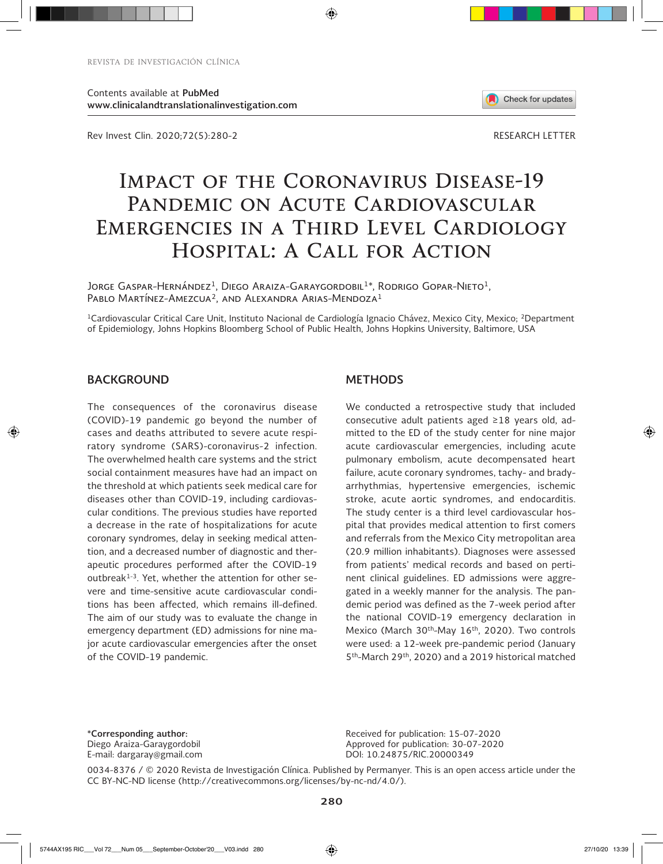Contents available at **PubMed www.clinicalandtranslationalinvestigation.com** 

Rev Invest Clin. 2020;72(5):280-2

# **Impact of the Coronavirus Disease-19**  PANDEMIC ON ACUTE CARDIOVASCULAR EMERGENCIES IN A THIRD LEVEL CARDIOLOGY **Hospital: A Call for Action**

Jorge Gaspar-Hernández<sup>1</sup>, Diego Araiza-Garaygordobil<sup>1\*</sup>, Rodrigo Gopar-Nieto<sup>1</sup>, Pablo Martínez-Amezcua<sup>2</sup>, and Alexandra Arias-Mendoza<sup>1</sup>

<sup>1</sup>Cardiovascular Critical Care Unit, Instituto Nacional de Cardiología Ignacio Chávez, Mexico City, Mexico; <sup>2</sup>Department of Epidemiology, Johns Hopkins Bloomberg School of Public Health, Johns Hopkins University, Baltimore, USA

### **BACKGROUND**

⊕

The consequences of the coronavirus disease (COVID)-19 pandemic go beyond the number of cases and deaths attributed to severe acute respiratory syndrome (SARS)-coronavirus-2 infection. The overwhelmed health care systems and the strict social containment measures have had an impact on the threshold at which patients seek medical care for diseases other than COVID-19, including cardiovascular conditions. The previous studies have reported a decrease in the rate of hospitalizations for acute coronary syndromes, delay in seeking medical attention, and a decreased number of diagnostic and therapeutic procedures performed after the COVID-19 outbreak $1-3$ . Yet, whether the attention for other severe and time-sensitive acute cardiovascular conditions has been affected, which remains ill-defined. The aim of our study was to evaluate the change in emergency department (ED) admissions for nine major acute cardiovascular emergencies after the onset of the COVID-19 pandemic.

#### **METHODS**

We conducted a retrospective study that included consecutive adult patients aged ≥18 years old, admitted to the ED of the study center for nine major acute cardiovascular emergencies, including acute pulmonary embolism, acute decompensated heart failure, acute coronary syndromes, tachy- and bradyarrhythmias, hypertensive emergencies, ischemic stroke, acute aortic syndromes, and endocarditis. The study center is a third level cardiovascular hospital that provides medical attention to first comers and referrals from the Mexico City metropolitan area (20.9 million inhabitants). Diagnoses were assessed from patients' medical records and based on pertinent clinical guidelines. ED admissions were aggregated in a weekly manner for the analysis. The pandemic period was defined as the 7-week period after the national COVID-19 emergency declaration in Mexico (March 30<sup>th</sup>-May 16<sup>th</sup>, 2020). Two controls were used: a 12-week pre-pandemic period (January 5<sup>th</sup>-March 29<sup>th</sup>, 2020) and a 2019 historical matched

**\*Corresponding author:** Diego Araiza-Garaygordobil E-mail: dargaray@gmail.com Received for publication: 15-07-2020 Approved for publication: 30-07-2020 DOI: 10.24875/RIC.20000349

0034-8376 / © 2020 Revista de Investigación Clínica. Published by Permanyer. This is an open access article under the CC BY-NC-ND license (http://creativecommons.org/licenses/by-nc-nd/4.0/).

5744AX195 RIC\_\_\_Vol 72\_\_\_Num 05\_\_\_September-October'20\_\_\_V03.indd 280 27/10/20 13:39

⊕



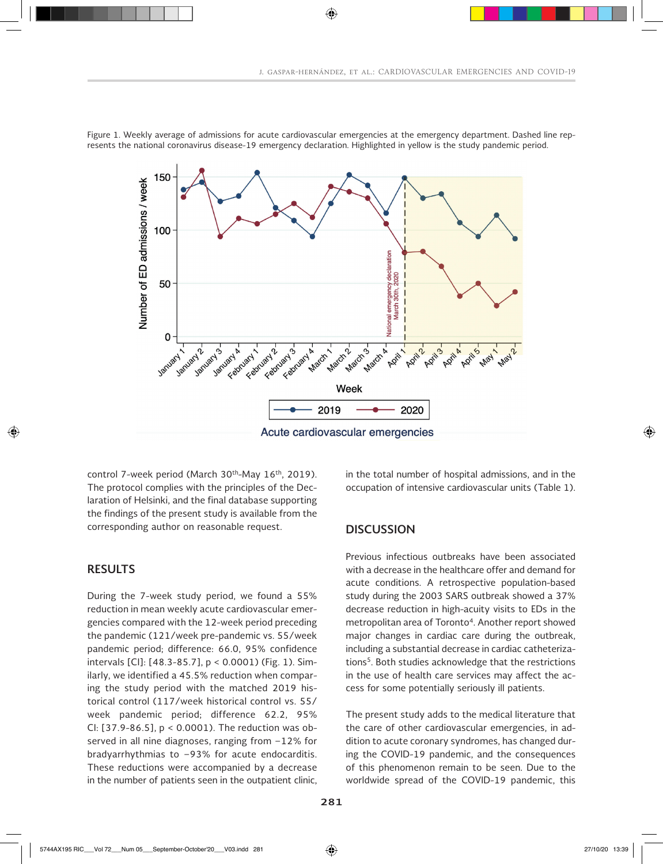

Figure 1. Weekly average of admissions for acute cardiovascular emergencies at the emergency department. Dashed line represents the national coronavirus disease-19 emergency declaration. Highlighted in yellow is the study pandemic period.

⊕

control 7-week period (March 30<sup>th</sup>-May 16<sup>th</sup>, 2019). The protocol complies with the principles of the Declaration of Helsinki, and the final database supporting the findings of the present study is available from the corresponding author on reasonable request.

## **RESULTS**

⊕

During the 7-week study period, we found a 55% reduction in mean weekly acute cardiovascular emergencies compared with the 12-week period preceding the pandemic (121/week pre-pandemic vs. 55/week pandemic period; difference: 66.0, 95% confidence intervals [CI]: [48.3-85.7], p < 0.0001) (Fig. 1). Similarly, we identified a 45.5% reduction when comparing the study period with the matched 2019 historical control (117/week historical control vs. 55/ week pandemic period; difference 62.2, 95% CI: [37.9-86.5], p < 0.0001). The reduction was observed in all nine diagnoses, ranging from −12% for bradyarrhythmias to −93% for acute endocarditis. These reductions were accompanied by a decrease in the number of patients seen in the outpatient clinic, in the total number of hospital admissions, and in the occupation of intensive cardiovascular units (Table 1).

#### **DISCUSSION**

Previous infectious outbreaks have been associated with a decrease in the healthcare offer and demand for acute conditions. A retrospective population-based study during the 2003 SARS outbreak showed a 37% decrease reduction in high-acuity visits to EDs in the metropolitan area of Toronto<sup>4</sup>. Another report showed major changes in cardiac care during the outbreak, including a substantial decrease in cardiac catheterizations<sup>5</sup>. Both studies acknowledge that the restrictions in the use of health care services may affect the access for some potentially seriously ill patients.

The present study adds to the medical literature that the care of other cardiovascular emergencies, in addition to acute coronary syndromes, has changed during the COVID-19 pandemic, and the consequences of this phenomenon remain to be seen. Due to the worldwide spread of the COVID-19 pandemic, this ♠